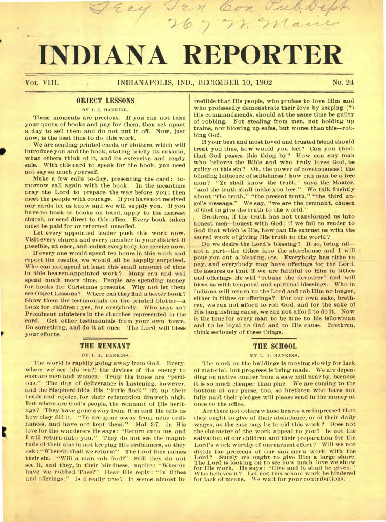# **INDIANA REPORTER**

## OBJECT LESSONS

BY I. J. HANKINS.

These moments are precious. If you can not take your quota of books and pay for them, then set apart a day to sell them and do not put it off. Now, just now, is the best time to do this work.

We are sending printed cards, or blotters, which will introduce you and the book, stating briefly its mission, what others think of it, and its extensive and ready sale. With this card to speak for the book, you need not say so much yourself.

Make a few calls to-day, presenting the card ; tomorrow call again with the book. In the meantime pray the Lord to prepare the way before you ; then meet the people with courage. If you have not received any cards let us know and we will supply you. If you have no book or books on hand, apply to the nearest church, or send direct to this office. Every book taken must be paid for or returned unsoiled.

Let every appointed leader push this work now. Visit every church and every member in your district if possible, at once, and enlist everybody for service now.

If every one would spend ten hours in this work and report the results, we would all be happily surprised. Who can not spend at least this small amount of time in this heaven-appointed work? Many can and will spend much more time. People are spending money for books for Christmas presents. Why not let them see Object Lessons? Where can they find a better book ? Show them the testimonials on the printed blotter—a book for children ; yes, for everybody. Who says so? Prominent ministers in the churches represented in the card. Get other testimonials from your own town. Do something, and do it at once The Lord will bless your efforts.

#### **THE REMNANT**

#### BY I. J. HANKINS.

The world is rapidly going away from God. Everywhere we' see (do we?) the devices of the enemy to ensnare men and women. Truly the times are "perilous." The day of deliverance is hastening, however, and the Shepherd bids His " little flock " lift up their heads and rejoice, for their redemption draweth nigh. But where are God's people, the remnant of His heritage? They have gone away from Him and He tells us how they did it. "Ye are gone away from mine ordinances, and have not kept them." Mal. 3:7. In His love for the wanderers He says : "Return unto me, and I will return unto you." They do not see the magnitude of-their sins in not keeping His ordinances, so they ask : "Wherein shall we return?" The Lot d then names their sin. "Will a man rob God?" Still they do not see it, and they, in their blindness, inquire: "Wherein have we robbed Thee?" Hear His reply: "In tithes and offerings." Is it really true? It seems almost incredible that His people, who profess to love Him and who professedly demonstrate their love by keeping (?) His commandmends, should at the same time be guilty of robbing. Not stealing from men, not holding up trains, nor blowing up safes, but worse than this—robbing God.

If your best and most loved and trusted friend should treat you thus, how would you feel? Can you think that God passes this thing by? How can any man who believes the Bible and who truly loves God, be guilty of this sin? Oh, the power of covetousness ! the blinding influence of selfishness ! how can man be a free man? "Ye shall know the truth," says the Master, "and the truth shall make you free." We talk fluently about "the truth," "the present truth," "the third angel's message." We say, "we are the remnant, chosen of God to give the truth to the world."

Brethren, if the truth has not transformed us into honest men-honest with God; if we fail to render to God that which is His, how can He entrust us with the sacred work of giving His truth to the world ?

Do we desire the Lord's blessing? If so, bring all not a part—the tithes into the storehouse and I will pour you out a blessing, etc. Everybody has tithe to pay, and everybody may have offerings for the Lord. He assures us that if we are faithful to Him in tithes and offerings He will "rebuke the devourer" and will bless us with temporal and spiritual blessings. Who in Indiana. will return to the Lord and rob Him no longer, either in tithes or offerings? For our own sake, brethren, we can not afford to rob God, and for the sake of **His** languishing cause, we can not afford to do it. Now is the time for every man to be true to his fellowman and to be loyal to God and to His cause. Brethren, think seriously of these things.

#### **THE SCHOOL**

#### BY I. J. HANKINS.

The work on the buildings is moving slowly for lack of material, but progress is being made. We are depending on native lumber from a saw mill near by, because it is so much cheaper than pine. We are coming to the bottom of our purse, too, so brethren who have not fully paid their pledges will please send in the money at once to the office. •

Are there not others whose hearts are impressed that they ought to give of their abundance, or of their daily wages, as the case may be to aid this work? Does not the character of the work appeal to you? Is not the salvation of our children and their preparation for the Lord's work worthy of ourearnest effort? Will we not divide the proceeds of our summer's work with the Lord? Surely we ought to give Him a large share. The Lord is looking on to see how much love we show for His work. He says : "Give and it shall be given." Who believes it? Let not this school work be hindered for lack of means. We watt for your contributions.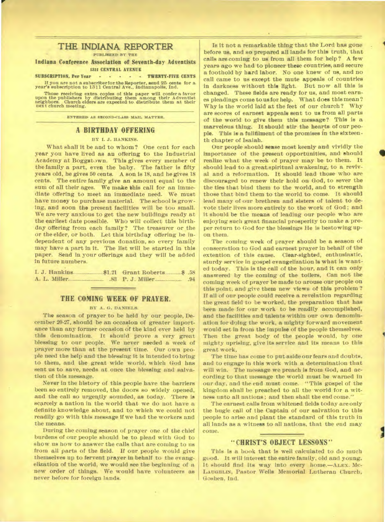# **THE INDIANA REPORTER**

**PUBLISHED BY THE** 

## **Indiana Conference Association of Seventh-day Adventists 1311 CENTRAL AVENUE**

**SUBSCRIPTION, Per Year TWENTY-FIVE CENTS If you are not a subscriber for the Reporter, send 25 cents for a year's subscription to 1311 Central Ave., Indianapolis, Ind.** 

Those receiving extra copies of this paper will confer a favor upon the publishers by distributing them among their Adventist neighbors. Church elders are expected to distribute them at their next church meeting.

**ENTERED AS SECOND-CLASS MAIL MATTER.** 

## **A BIRTHDAY OFFERING**

## **BY I. J. HANKINS.**

**What shall it** *be* **and to whom? One cent for each year you have lived as an offering to the Industrial Academy at Boggstown. This gives every member of the family a part, even the baby. The father is fifty years old, he gives 50 cents. A son is 18, and he gives 18 cents. The entire family** *give* **an amount equal to the sum of all their ages. We make this call for an immediate offering to meet an immediate need. We must have money to purchase material. The school is growing, and soon the present facilities will be too small. We are very anxious to get the new buildings ready at the earliest date possible. Who will collect this birthday offering from each family? The treasurer or the or the elder, or both. Let this birthday offering be independent of any previous donation, so every family may have a part in it. The list will be started in this paper. Send in your offerings and they will be added In future numbers.** 

|  |  | .94 |
|--|--|-----|

## **THE COMING WEEK OF PRAYER.**

#### **BY A. G. DANIELS.**

**The season of prayer to be held by our people, December 20-27, should be an occasion of greater importance than any former occasion of the kind ever held by this denomination. It should prove a very great blessing to our people. We never needed a week of prayer more than at the present time. Our own people need the help and the blessing it is intended to bring to them, and the great wide world, which God has sent us to save, needs at once the blessing and salvation of this message.** 

**Never in the history of this people have the barriers been so entirely removed, the doors so widely opened, and the call so urgently sounded, as today. There is scarcely a nation in the world that we do not have a definite knowledge about, and to which we could not readily go with this message if we had the workers and the means.** 

**During the coming season of prayer one of the chief burdens of our people should be to plead with God to show us how to answer the calls that are coming to us from all parts of the field. If our people would give themselves up to fervent prayer in behalf to the evangelization of the world, we would see the beginning of a new order of things. We would have volunteers as never before for foreign lands.** 

**Is it not a remarkable thing that the Lord has gone before us, and so prepared all lands for this truth, that calls are coming to us from all them for help? A few years ago we had to pioneer these countries, and secure a foothold by hard labor. No one knew of us, and no call came to us except the mute appeals of countries in darkness without this light. But now all this is changed. These fields are ready for us, and most earnes pleadings come to us for help. What does this mean ? Why is the world laid at the feet of our church? Why are scores of earnest appeals sent to us from all parts of the world to give them this message? This is a marvelous thing. It should stir the hearts of our people. This is a fullfilment of the promises in the sixteenth chapter of Isaiah.** 

**Our people should sense most keenly and vividly the importance of the present opportunities, and should realize what the week of prayer may be to them. It should lead to a great spiritual awakening, to a revival and a reformation. It should lead those who are discouraged to renew their hold on God, to sever the the ties that bind them to the world, and to strength those that bind them to the world to come. It should lead many of our brethren and sisters of talent to devote their lives more entirely to the work of God ; and it should be the means of leading our people who are enjoying such great financial prosperity to make a proper return to God for the blessings He is bestowing upon them.** 

**The coming week of prayer should be a season of consecration to God and earnest prayer in behalf of the extention of this cause. Clear-sighted, enthusiastic, sturdy service in gospel evangelization is what is wanted today. This is the call of the hour, and it can only answered by the coming of the toilers, Can not the coming week of prayer be made to arouse our people on this point, and give them new views of this problem ? If all of our people could receive a revelation regarding the great field to be worked, the preparation that has been made for our work to be readily accomplished, and the facilities and talents within our own denomination for doing the work, a mighty forward movement would set in from the impulse of the people themselves. Then the great body of the people would, by one mighty uprising, give its service and its means to this great work,** 

**The time has come to put aside our fears and doubts, and to engage in this work with a determination that will win. The message we preach is from God, and according to that message the world must be warned in our day, and the end must come. "This gospel of the kingdom shall be preached to all the world for a witness unto all nations ; and then shall the end come."** 

**The earnest calls from whitened fields today are only the bugle call of the Captain of our salvation to this people to arise and plant the standard of this truth in all lands as a witness to all nations, that the end may come.** 

## **"CHRIST'S OBJECT LESSONS"**

**This is a book that is well calculated to do much good. It will interest the entire family, old and young. It should find its way into every home.—ALEx. Mc-LAUGHLIN, Pastor Wells Memorial Lutheran Church, Goshen, Ind.**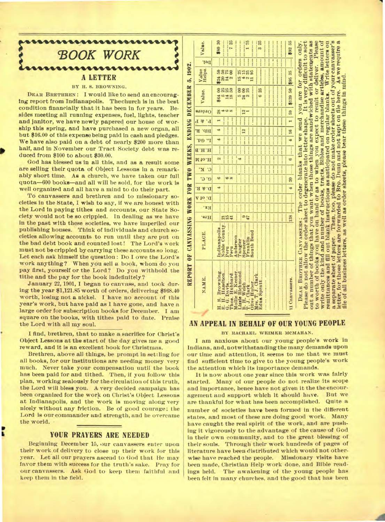

## **BY H. S. BROWNING.**

**DEAR BRETHREN: I would like to send an encouraging report from Indianapolis. The church is in the best condition financially that it has been in for years. Besides meeting all running expenses, fuel, lights, teacher and janitor, we have newly papered our house of worship this spring, and have purchased a new organ, all but \$16.00 of this expense being paid in cash and pledges. We have also paid on a debt of nearly \$200 more than half, and in November our Tract Society debt was reduced from \$100 to about \$30.00.** 

**God has blessed us in all this, and as a result some are selling their quota of Object Lessons in a remarkably short time. As a church, we have taken our full quota-600 books—and all will be sold, for the work is well organized and all have a mind to do their part.** 

**To canvassers and brethren and to missionary societies in the State, I wish to say, if we are honest with the Lord in paying tithes and accounts, our State Society would not be so crippled. In dealing as we have in the past with these societies, we have imperiled our publishing houses. Think of individuals and church societies allowing accounts to run until they are put on the bad debt book and counted lost! The Lord's work must not be crippled by carrying these accounts so long. Let each ask himself the question : Do I owe the Lord's work anything? When you sell a book, whom do you pay first, yourself or the Lord? Do you withhold the tithe and the pay for the book indefinitely?** 

**January 22, 1901, I began to canvass, and took during the year \$1,121.85 worth of orders, delivering \$968.40 worth, losing not a nickel. I have no account of this year's work, but have paid as I have gone, and have a large order for subscription books for December. I am square on the books, with tithes paid to date. Praise the Lord with all my soul.** 

**I find, brethren, that to make a sacrifice for Christ's Object Lessons at the start of the day gives me a good reward, and it is an excellent book for Christmas.** 

**Brethren, above all things, be prompt in settling for all books, for our institutions are needing money very much. Never take your compensation until the book has been paid for and tithed. Then, if you follow this plan, working zealously for the circulation of this truth, the Lord will bless you. A very decided campaign has been organized for the work on Christ's Object Lessons at Indianapolis, and the work is moving along very nicely without any friction. Be of good courage; the Lord is our commander and strength, and he overcame the world. •** 

## **YOUR PRAYERS ARE NEEDED**

p IL

**Beginning December 15, our canvassers enter upon their work of delivery to close up their work for this year. Let allour prayers ascend to God that He may favor them with success for the truth's sake. Pray for our canvassers. Ask God to keep** them faithful and keep them in the field.

| Value.                                                                               | \$80 30<br><br><br><br>***********<br><br><br>325<br>-----------<br><br><br><br>***********<br>-----------                                                                                   | \$92 55                                               |                                                                                                                                                                                                                                                                                                                                                                                                                                                                                                                                                                                                                                                                                                                                                                                                                                                            |
|--------------------------------------------------------------------------------------|----------------------------------------------------------------------------------------------------------------------------------------------------------------------------------------------|-------------------------------------------------------|------------------------------------------------------------------------------------------------------------------------------------------------------------------------------------------------------------------------------------------------------------------------------------------------------------------------------------------------------------------------------------------------------------------------------------------------------------------------------------------------------------------------------------------------------------------------------------------------------------------------------------------------------------------------------------------------------------------------------------------------------------------------------------------------------------------------------------------------------------|
| Del.                                                                                 | $\frac{1}{2}$<br><br>$\ddot{ }$<br>:::::<br><br>$\overline{\phantom{a}}$<br>111111<br>$\ddot{}$<br><br><br>$+11111$<br>                                                                      | $\frac{1}{2}$                                         |                                                                                                                                                                                                                                                                                                                                                                                                                                                                                                                                                                                                                                                                                                                                                                                                                                                            |
| REPORT OF CANVASSING WORK FOR TWO WEEKS, ENDING DECEMBER 5, 1902.<br>Value<br>Helps. | <br><br>-----------<br><br>8888<br>85<br>85<br><b>\$294</b><br>$\frac{15}{4}$<br>$\boldsymbol{\omega}$                                                                                       | \$95 35                                               | As we require a                                                                                                                                                                                                                                                                                                                                                                                                                                                                                                                                                                                                                                                                                                                                                                                                                                            |
| Value.                                                                               | --------------<br>-------------<br><br><br><br>8888<br>5 28<br>24 25<br>6 25<br>595<br>148                                                                                                   | 50<br>\$139                                           |                                                                                                                                                                                                                                                                                                                                                                                                                                                                                                                                                                                                                                                                                                                                                                                                                                                            |
| Orders                                                                               | $\ddot{\phantom{a}}$<br><b>The State</b><br><br><br>28<br>$\frac{2}{1}$                                                                                                                      | 59                                                    |                                                                                                                                                                                                                                                                                                                                                                                                                                                                                                                                                                                                                                                                                                                                                                                                                                                            |
| <b>F</b> & P                                                                         | $-1$<br><br><br>$\cdots$<br>$\ddot{\phantom{a}}$<br>Ī<br>.<br>$\ddot{ }$<br><br>                                                                                                             | $\overline{1}$                                        |                                                                                                                                                                                                                                                                                                                                                                                                                                                                                                                                                                                                                                                                                                                                                                                                                                                            |
| Bib. R.                                                                              | $+ + + + + +$<br><br><br><b>Control</b><br>  <br>$\cdots$<br><b>Breast</b><br>1111111<br>$\cdots \cdots$<br>$\frac{1}{2}$                                                                    |                                                       |                                                                                                                                                                                                                                                                                                                                                                                                                                                                                                                                                                                                                                                                                                                                                                                                                                                            |
| $\mathbf{r}$<br>Gq.                                                                  | $\cdots$ $\cdots$ 12<br>  <br><br>::::<br><br><br>$\cdots$<br>$\cdots$<br>$\frac{1}{2}$<br><br><br>$\cdots$<br>4                                                                             | 4   16                                                |                                                                                                                                                                                                                                                                                                                                                                                                                                                                                                                                                                                                                                                                                                                                                                                                                                                            |
| H.H.B                                                                                | <br><br>$\cdots \cdots$<br>$\cdots \cdots$<br>-------<br><br><br><br><b>ACC # 198</b><br>                                                                                                    | ---------------<br>$\frac{1}{2}$                      |                                                                                                                                                                                                                                                                                                                                                                                                                                                                                                                                                                                                                                                                                                                                                                                                                                                            |
| <b>M</b> <sub>10</sub> .H                                                            | ---------<br><br>an in [ cream<br><br>$1 + 1 + 1 + 1 = 1$<br><br><br><br><br><br>21                                                                                                          | 6                                                     |                                                                                                                                                                                                                                                                                                                                                                                                                                                                                                                                                                                                                                                                                                                                                                                                                                                            |
| K.<br>C.                                                                             | $\frac{1}{2}$<br>j.<br><br><br><br><br><br>                                                                                                                                                  | <br>$\ddot{\phantom{a}}$                              |                                                                                                                                                                                                                                                                                                                                                                                                                                                                                                                                                                                                                                                                                                                                                                                                                                                            |
| C'<br>$\mathbf{G}^*$                                                                 | <br><br>6<br>$\infty$<br>6                                                                                                                                                                   | 20                                                    |                                                                                                                                                                                                                                                                                                                                                                                                                                                                                                                                                                                                                                                                                                                                                                                                                                                            |
| $B \times B$                                                                         | ------<br>Analys<br><br>$-1 - 1 - 1 = 0$<br><br><b>AAA</b><br>$+1111$<br>4                                                                                                                   | $\frac{4}{ }$<br>                                     |                                                                                                                                                                                                                                                                                                                                                                                                                                                                                                                                                                                                                                                                                                                                                                                                                                                            |
| D. of A                                                                              | <br><br>                                                                                                                                                                                     |                                                       |                                                                                                                                                                                                                                                                                                                                                                                                                                                                                                                                                                                                                                                                                                                                                                                                                                                            |
| Ex.                                                                                  | <br>and a site<br>                                                                                                                                                                           |                                                       |                                                                                                                                                                                                                                                                                                                                                                                                                                                                                                                                                                                                                                                                                                                                                                                                                                                            |
| .s1H                                                                                 | <br>$+111$<br><br>$rac{5}{45}$<br>515<br>41                                                                                                                                                  | $138$ $\cdots$                                        |                                                                                                                                                                                                                                                                                                                                                                                                                                                                                                                                                                                                                                                                                                                                                                                                                                                            |
| PLACE.                                                                               | Anderson<br>Noble County.<br>ndianapolis<br>Peru<br>l'angier<br><b></b><br>Franklin<br>Spencer<br>South Bend                                                                                 |                                                       |                                                                                                                                                                                                                                                                                                                                                                                                                                                                                                                                                                                                                                                                                                                                                                                                                                                            |
| NAME.                                                                                | Edna Spratt<br>Olive Huber<br>$J.$ Clark<br>Hazelton.<br>Browning.<br>Mollie E. Keener.<br>Lizzie Richmond<br>G. Davis<br><b>Thos.</b> Hubbard<br>Mrs. T. J. Clark<br>Welch<br>si u<br>B. H. | ***********************************<br>11 Canvassers. | a separate sheet of paper. Then, too, please do not make order sheets out of your canyasser's<br>DEAR BROTHER CANVASSERS: The order blanks that we send you are for orders only.<br>Please do not allow the order sheet to degenerate into letter shape. It is very difficult to sort<br>out a number of things that you want when those things are sandwiched with statements as<br>to worth of books you have on hand or as to when you expect to remit or deliver. Please<br>write only the kind and number of books, tracts, Bibles and merchandise articles, amount of<br>remittances and fill out blank instructions as anticipated on regular blanks. Write letters on<br>file of all business letters, as well as order sheets, please bear these things in mind<br>etter, for those letters are forwarded to Bro. Dunn and not kept on file here. |

## **AN APPEAL IN BEHALF OF OUR YOUNG PEOPLE**

**BY RACHAEL WEIMER MCMAHAN.** 

**I am anxious about our young people's work in Indiana, and, notwithstanding the many demands upon our time and attention, it seems to me that we must find sufficient time to give to the young people's work the attention which its importance demands.** 

**It is now about one year since this work was fairly started. Many of our people do not realize its scope and importance, hence have not given it the the encouragement and support which it should have. But we are thankful for what has been accomplished. Quite a number of societies have been formed in the different states, and most of these are doing good work. Many have caught the real spirit of the work, and are pushing it vigorously to the advantage of the cause of God in their own community, and to the great blessing of their souls. Through their work hundreds of pages of literature have been distributed which would not otherwise have reached the people. Missionary visits have been made, Christian Help work done, and Bible readings held. The awakening of the young people has been felt in many churches, and the good that has been**